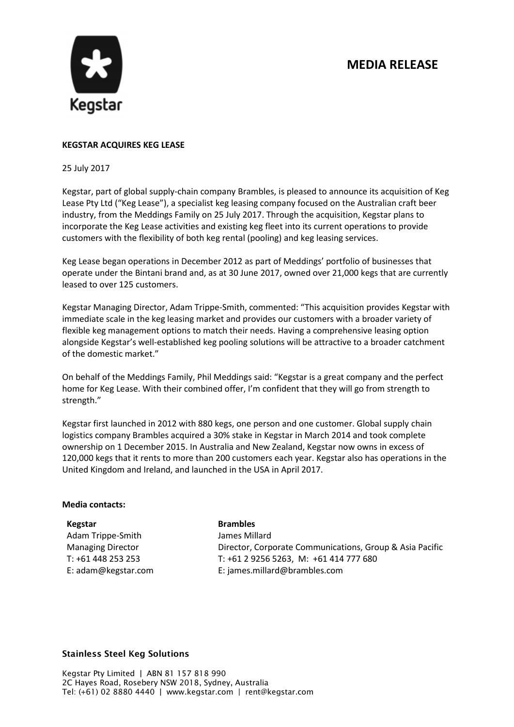# **MEDIA RELEASE**



# **KEGSTAR ACQUIRES KEG LEASE**

#### 25 July 2017

Kegstar, part of global supply-chain company Brambles, is pleased to announce its acquisition of Keg Lease Pty Ltd ("Keg Lease"), a specialist keg leasing company focused on the Australian craft beer industry, from the Meddings Family on 25 July 2017. Through the acquisition, Kegstar plans to incorporate the Keg Lease activities and existing keg fleet into its current operations to provide customers with the flexibility of both keg rental (pooling) and keg leasing services.

Keg Lease began operations in December 2012 as part of Meddings' portfolio of businesses that operate under the Bintani brand and, as at 30 June 2017, owned over 21,000 kegs that are currently leased to over 125 customers.

Kegstar Managing Director, Adam Trippe-Smith, commented: "This acquisition provides Kegstar with immediate scale in the keg leasing market and provides our customers with a broader variety of flexible keg management options to match their needs. Having a comprehensive leasing option alongside Kegstar's well-established keg pooling solutions will be attractive to a broader catchment of the domestic market."

On behalf of the Meddings Family, Phil Meddings said: "Kegstar is a great company and the perfect home for Keg Lease. With their combined offer, I'm confident that they will go from strength to strength."

Kegstar first launched in 2012 with 880 kegs, one person and one customer. Global supply chain logistics company Brambles acquired a 30% stake in Kegstar in March 2014 and took complete ownership on 1 December 2015. In Australia and New Zealand, Kegstar now owns in excess of 120,000 kegs that it rents to more than 200 customers each year. Kegstar also has operations in the United Kingdom and Ireland, and launched in the USA in April 2017.

## **Media contacts:**

**Kegstar** Adam Trippe-Smith Managing Director T: +61 448 253 253 E: adam@kegstar.com

#### **Brambles**

James Millard Director, Corporate Communications, Group & Asia Pacific T: +61 2 9256 5263, M: +61 414 777 680 E: james.millard@brambles.com

## **Stainless Steel Keg Solutions**